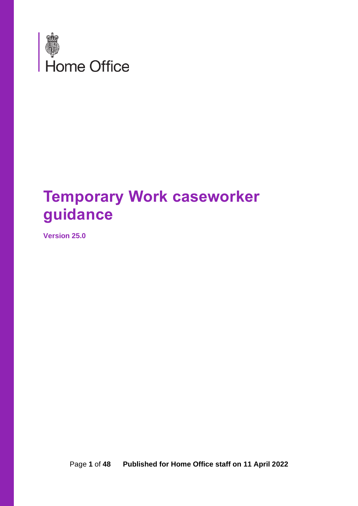

# **Temporary Work caseworker guidance**

**Version 25.0**

Page **1** of **48 Published for Home Office staff on 11 April 2022**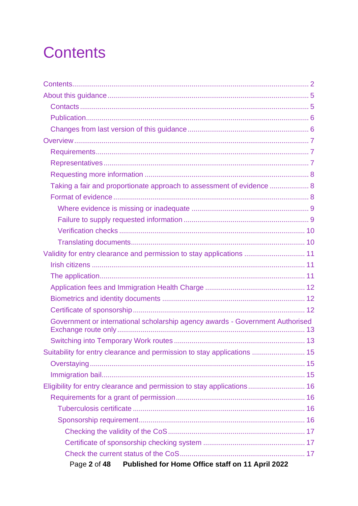# <span id="page-1-0"></span>**Contents**

| Taking a fair and proportionate approach to assessment of evidence  8         |  |
|-------------------------------------------------------------------------------|--|
|                                                                               |  |
|                                                                               |  |
|                                                                               |  |
|                                                                               |  |
|                                                                               |  |
| Validity for entry clearance and permission to stay applications  11          |  |
|                                                                               |  |
|                                                                               |  |
|                                                                               |  |
|                                                                               |  |
|                                                                               |  |
| Government or international scholarship agency awards - Government Authorised |  |
|                                                                               |  |
| Suitability for entry clearance and permission to stay applications  15       |  |
|                                                                               |  |
|                                                                               |  |
| Eligibility for entry clearance and permission to stay applications 16        |  |
|                                                                               |  |
|                                                                               |  |
|                                                                               |  |
|                                                                               |  |
|                                                                               |  |
|                                                                               |  |
| Published for Home Office staff on 11 April 2022<br>Page 2 of 48              |  |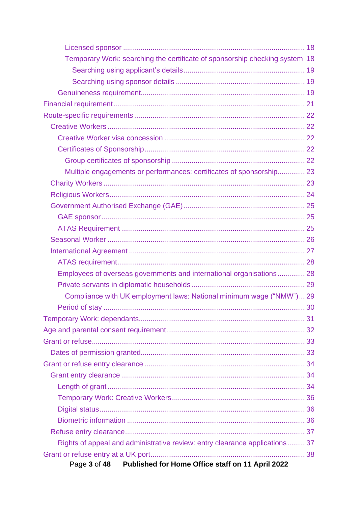| Temporary Work: searching the certificate of sponsorship checking system 18 |  |
|-----------------------------------------------------------------------------|--|
|                                                                             |  |
|                                                                             |  |
|                                                                             |  |
|                                                                             |  |
|                                                                             |  |
|                                                                             |  |
|                                                                             |  |
|                                                                             |  |
|                                                                             |  |
| Multiple engagements or performances: certificates of sponsorship 23        |  |
|                                                                             |  |
|                                                                             |  |
|                                                                             |  |
|                                                                             |  |
|                                                                             |  |
|                                                                             |  |
|                                                                             |  |
|                                                                             |  |
| Employees of overseas governments and international organisations 28        |  |
|                                                                             |  |
| Compliance with UK employment laws: National minimum wage ("NMW") 29        |  |
|                                                                             |  |
|                                                                             |  |
|                                                                             |  |
|                                                                             |  |
|                                                                             |  |
|                                                                             |  |
|                                                                             |  |
|                                                                             |  |
|                                                                             |  |
|                                                                             |  |
|                                                                             |  |
|                                                                             |  |
| Rights of appeal and administrative review: entry clearance applications 37 |  |
|                                                                             |  |
| Page 3 of 48 Published for Home Office staff on 11 April 2022               |  |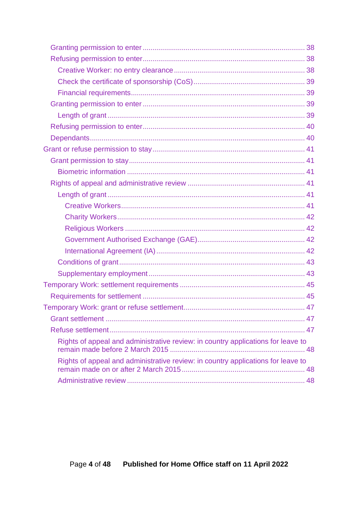| Rights of appeal and administrative review: in country applications for leave to |  |
|----------------------------------------------------------------------------------|--|
| Rights of appeal and administrative review: in country applications for leave to |  |
|                                                                                  |  |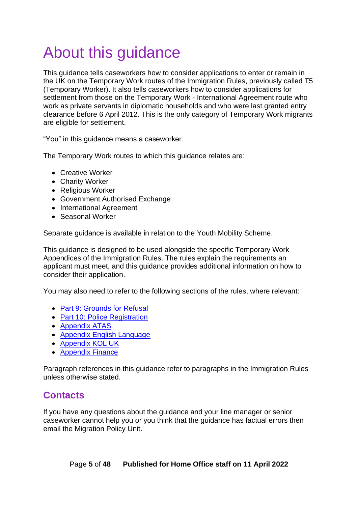# <span id="page-4-0"></span>About this guidance

This guidance tells caseworkers how to consider applications to enter or remain in the UK on the Temporary Work routes of the Immigration Rules, previously called T5 (Temporary Worker). It also tells caseworkers how to consider applications for settlement from those on the Temporary Work - International Agreement route who work as private servants in diplomatic households and who were last granted entry clearance before 6 April 2012. This is the only category of Temporary Work migrants are eligible for settlement.

"You" in this guidance means a caseworker.

The Temporary Work routes to which this guidance relates are:

- Creative Worker
- Charity Worker
- Religious Worker
- Government Authorised Exchange
- International Agreement
- Seasonal Worker

Separate guidance is available in relation to the Youth Mobility Scheme.

This guidance is designed to be used alongside the specific Temporary Work Appendices of the Immigration Rules. The rules explain the requirements an applicant must meet, and this guidance provides additional information on how to consider their application.

You may also need to refer to the following sections of the rules, where relevant:

- [Part 9: Grounds for Refusal](https://www.gov.uk/guidance/immigration-rules/immigration-rules-part-9-grounds-for-refusal)
- Part 10: [Police Registration](https://www.gov.uk/guidance/immigration-rules/immigration-rules-part-10-registering-with-the-police)
- [Appendix ATAS](https://www.gov.uk/guidance/immigration-rules/appendix-atas-academic-technology-approval-scheme-atas)
- [Appendix English Language](https://www.gov.uk/guidance/immigration-rules/immigration-rules-appendix-english-language)
- [Appendix KOL UK](https://www.gov.uk/guidance/immigration-rules/immigration-rules-appendix-kol-uk)
- [Appendix Finance](https://www.gov.uk/guidance/immigration-rules/immigration-rules-appendix-finance)

Paragraph references in this guidance refer to paragraphs in the Immigration Rules unless otherwise stated.

# <span id="page-4-1"></span>**Contacts**

If you have any questions about the guidance and your line manager or senior caseworker cannot help you or you think that the guidance has factual errors then email the Migration Policy Unit.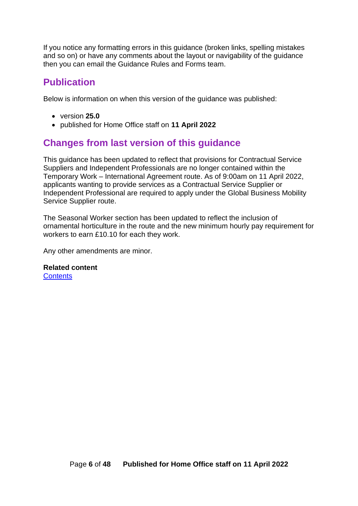If you notice any formatting errors in this guidance (broken links, spelling mistakes and so on) or have any comments about the layout or navigability of the guidance then you can email the Guidance Rules and Forms team.

# <span id="page-5-0"></span>**Publication**

Below is information on when this version of the guidance was published:

- version **25.0**
- published for Home Office staff on **11 April 2022**

# <span id="page-5-1"></span>**Changes from last version of this guidance**

This guidance has been updated to reflect that provisions for Contractual Service Suppliers and Independent Professionals are no longer contained within the Temporary Work – International Agreement route. As of 9:00am on 11 April 2022, applicants wanting to provide services as a Contractual Service Supplier or Independent Professional are required to apply under the Global Business Mobility Service Supplier route.

The Seasonal Worker section has been updated to reflect the inclusion of ornamental horticulture in the route and the new minimum hourly pay requirement for workers to earn £10.10 for each they work.

Any other amendments are minor.

#### **Related content**

**[Contents](#page-1-0)**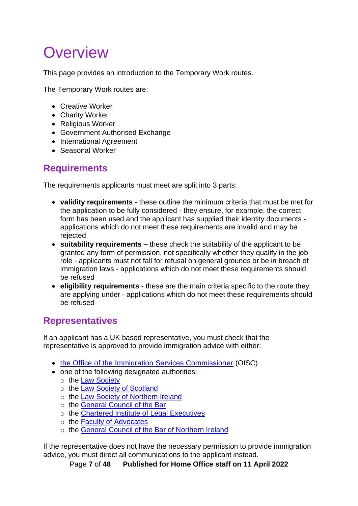# <span id="page-6-0"></span>**Overview**

This page provides an introduction to the Temporary Work routes.

The Temporary Work routes are:

- Creative Worker
- Charity Worker
- Religious Worker
- Government Authorised Exchange
- International Agreement
- Seasonal Worker

# <span id="page-6-1"></span>**Requirements**

The requirements applicants must meet are split into 3 parts:

- **validity requirements -** these outline the minimum criteria that must be met for the application to be fully considered - they ensure, for example, the correct form has been used and the applicant has supplied their identity documents applications which do not meet these requirements are invalid and may be rejected
- **suitability requirements –** these check the suitability of the applicant to be granted any form of permission, not specifically whether they qualify in the job role - applicants must not fall for refusal on general grounds or be in breach of immigration laws - applications which do not meet these requirements should be refused
- **eligibility requirements -** these are the main criteria specific to the route they are applying under - applications which do not meet these requirements should be refused

# <span id="page-6-2"></span>**Representatives**

If an applicant has a UK based representative, you must check that the representative is approved to provide immigration advice with either:

- [the Office of the Immigration Services Commissioner](https://www.gov.uk/government/organisations/office-of-the-immigration-services-commissioner) (OISC)
- one of the following designated authorities:
	- o the [Law Society](https://www.lawsociety.org.uk/)
	- o the [Law Society of Scotland](https://www.lawscot.org.uk/)
	- o the [Law Society of Northern Ireland](https://www.lawsoc-ni.org/)
	- o the [General Council of the Bar](https://www.barcouncil.org.uk/)
	- o the [Chartered Institute of Legal Executives](https://www.cilex.org.uk/)
	- o the [Faculty of Advocates](http://www.advocates.org.uk/)
	- o the [General Council of the Bar of Northern Ireland](https://www.barofni.com/page/governing-bodies)

If the representative does not have the necessary permission to provide immigration advice, you must direct all communications to the applicant instead.

Page **7** of **48 Published for Home Office staff on 11 April 2022**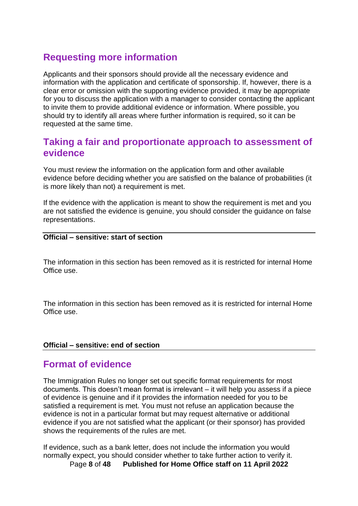# <span id="page-7-0"></span>**Requesting more information**

Applicants and their sponsors should provide all the necessary evidence and information with the application and certificate of sponsorship. If, however, there is a clear error or omission with the supporting evidence provided, it may be appropriate for you to discuss the application with a manager to consider contacting the applicant to invite them to provide additional evidence or information. Where possible, you should try to identify all areas where further information is required, so it can be requested at the same time.

### <span id="page-7-1"></span>**Taking a fair and proportionate approach to assessment of evidence**

You must review the information on the application form and other available evidence before deciding whether you are satisfied on the balance of probabilities (it is more likely than not) a requirement is met.

If the evidence with the application is meant to show the requirement is met and you are not satisfied the evidence is genuine, you should consider the guidance on false representations.

#### **Official – sensitive: start of section**

The information in this section has been removed as it is restricted for internal Home Office use.

The information in this section has been removed as it is restricted for internal Home Office use.

#### **Official – sensitive: end of section**

#### <span id="page-7-2"></span>**Format of evidence**

The Immigration Rules no longer set out specific format requirements for most documents. This doesn't mean format is irrelevant – it will help you assess if a piece of evidence is genuine and if it provides the information needed for you to be satisfied a requirement is met. You must not refuse an application because the evidence is not in a particular format but may request alternative or additional evidence if you are not satisfied what the applicant (or their sponsor) has provided shows the requirements of the rules are met.

If evidence, such as a bank letter, does not include the information you would normally expect, you should consider whether to take further action to verify it.

Page **8** of **48 Published for Home Office staff on 11 April 2022**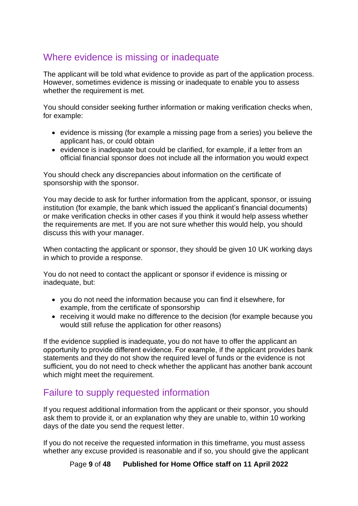# <span id="page-8-0"></span>Where evidence is missing or inadequate

The applicant will be told what evidence to provide as part of the application process. However, sometimes evidence is missing or inadequate to enable you to assess whether the requirement is met.

You should consider seeking further information or making verification checks when, for example:

- evidence is missing (for example a missing page from a series) you believe the applicant has, or could obtain
- evidence is inadequate but could be clarified, for example, if a letter from an official financial sponsor does not include all the information you would expect

You should check any discrepancies about information on the certificate of sponsorship with the sponsor.

You may decide to ask for further information from the applicant, sponsor, or issuing institution (for example, the bank which issued the applicant's financial documents) or make verification checks in other cases if you think it would help assess whether the requirements are met. If you are not sure whether this would help, you should discuss this with your manager.

When contacting the applicant or sponsor, they should be given 10 UK working days in which to provide a response.

You do not need to contact the applicant or sponsor if evidence is missing or inadequate, but:

- you do not need the information because you can find it elsewhere, for example, from the certificate of sponsorship
- receiving it would make no difference to the decision (for example because you would still refuse the application for other reasons)

If the evidence supplied is inadequate, you do not have to offer the applicant an opportunity to provide different evidence. For example, if the applicant provides bank statements and they do not show the required level of funds or the evidence is not sufficient, you do not need to check whether the applicant has another bank account which might meet the requirement.

# <span id="page-8-1"></span>Failure to supply requested information

If you request additional information from the applicant or their sponsor, you should ask them to provide it, or an explanation why they are unable to, within 10 working days of the date you send the request letter.

If you do not receive the requested information in this timeframe, you must assess whether any excuse provided is reasonable and if so, you should give the applicant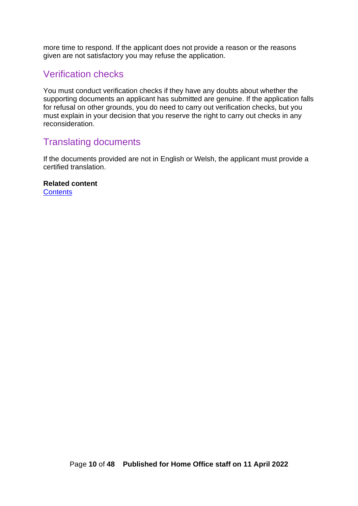more time to respond. If the applicant does not provide a reason or the reasons given are not satisfactory you may refuse the application.

#### <span id="page-9-0"></span>Verification checks

You must conduct verification checks if they have any doubts about whether the supporting documents an applicant has submitted are genuine. If the application falls for refusal on other grounds, you do need to carry out verification checks, but you must explain in your decision that you reserve the right to carry out checks in any reconsideration.

### <span id="page-9-1"></span>Translating documents

If the documents provided are not in English or Welsh, the applicant must provide a certified translation.

**Related content [Contents](#page-1-0)**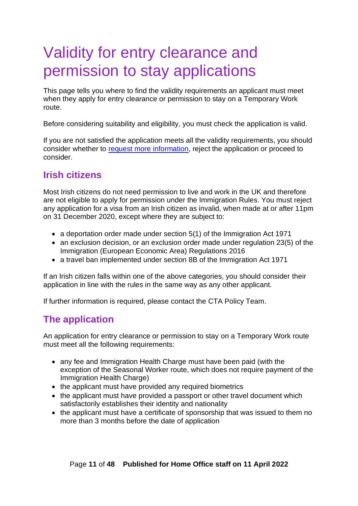# <span id="page-10-0"></span>Validity for entry clearance and permission to stay applications

This page tells you where to find the validity requirements an applicant must meet when they apply for entry clearance or permission to stay on a Temporary Work route.

Before considering suitability and eligibility, you must check the application is valid.

If you are not satisfied the application meets all the validity requirements, you should consider whether to [request more information,](#page-7-0) reject the application or proceed to consider.

# <span id="page-10-1"></span>**Irish citizens**

Most Irish citizens do not need permission to live and work in the UK and therefore are not eligible to apply for permission under the Immigration Rules. You must reject any application for a visa from an Irish citizen as invalid, when made at or after 11pm on 31 December 2020, except where they are subject to:

- a deportation order made under section 5(1) of the Immigration Act 1971
- an exclusion decision, or an exclusion order made under regulation 23(5) of the Immigration (European Economic Area) Regulations 2016
- a travel ban implemented under section 8B of the Immigration Act 1971

If an Irish citizen falls within one of the above categories, you should consider their application in line with the rules in the same way as any other applicant.

If further information is required, please contact the CTA Policy Team.

# <span id="page-10-2"></span>**The application**

An application for entry clearance or permission to stay on a Temporary Work route must meet all the following requirements:

- any fee and Immigration Health Charge must have been paid (with the exception of the Seasonal Worker route, which does not require payment of the Immigration Health Charge)
- the applicant must have provided any required biometrics
- the applicant must have provided a passport or other travel document which satisfactorily establishes their identity and nationality
- the applicant must have a certificate of sponsorship that was issued to them no more than 3 months before the date of application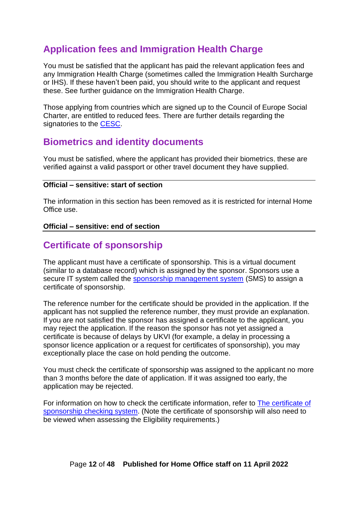# <span id="page-11-0"></span>**Application fees and Immigration Health Charge**

You must be satisfied that the applicant has paid the relevant application fees and any Immigration Health Charge (sometimes called the Immigration Health Surcharge or IHS). If these haven't been paid, you should write to the applicant and request these. See further guidance on the Immigration Health Charge.

Those applying from countries which are signed up to the Council of Europe Social Charter, are entitled to reduced fees. There are further details regarding the signatories to the [CESC.](https://www.coe.int/en/web/european-social-charter/signatures-ratifications)

### <span id="page-11-1"></span>**Biometrics and identity documents**

You must be satisfied, where the applicant has provided their biometrics, these are verified against a valid passport or other travel document they have supplied.

#### **Official – sensitive: start of section**

The information in this section has been removed as it is restricted for internal Home Office use.

#### **Official – sensitive: end of section**

# <span id="page-11-2"></span>**Certificate of sponsorship**

The applicant must have a certificate of sponsorship. This is a virtual document (similar to a database record) which is assigned by the sponsor. Sponsors use a secure IT system called the [sponsorship management system](https://www.gov.uk/sponsor-management-system) (SMS) to assign a certificate of sponsorship.

The reference number for the certificate should be provided in the application. If the applicant has not supplied the reference number, they must provide an explanation. If you are not satisfied the sponsor has assigned a certificate to the applicant, you may reject the application. If the reason the sponsor has not yet assigned a certificate is because of delays by UKVI (for example, a delay in processing a sponsor licence application or a request for certificates of sponsorship), you may exceptionally place the case on hold pending the outcome.

You must check the certificate of sponsorship was assigned to the applicant no more than 3 months before the date of application. If it was assigned too early, the application may be rejected.

For information on how to check the certificate information, refer to The certificate of sponsorship checking system. (Note the certificate of sponsorship will also need to be viewed when assessing the Eligibility requirements.)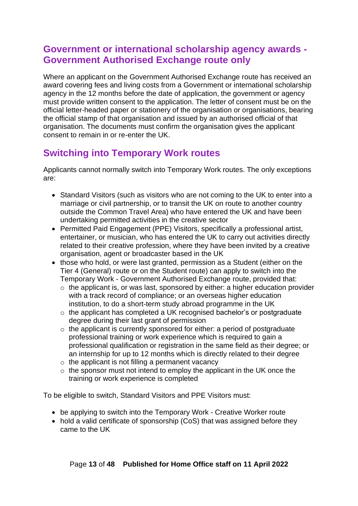# <span id="page-12-0"></span>**Government or international scholarship agency awards - Government Authorised Exchange route only**

Where an applicant on the Government Authorised Exchange route has received an award covering fees and living costs from a Government or international scholarship agency in the 12 months before the date of application, the government or agency must provide written consent to the application. The letter of consent must be on the official letter-headed paper or stationery of the organisation or organisations, bearing the official stamp of that organisation and issued by an authorised official of that organisation. The documents must confirm the organisation gives the applicant consent to remain in or re-enter the UK.

# <span id="page-12-1"></span>**Switching into Temporary Work routes**

Applicants cannot normally switch into Temporary Work routes. The only exceptions are:

- Standard Visitors (such as visitors who are not coming to the UK to enter into a marriage or civil partnership, or to transit the UK on route to another country outside the Common Travel Area) who have entered the UK and have been undertaking permitted activities in the creative sector
- Permitted Paid Engagement (PPE) Visitors, specifically a professional artist, entertainer, or musician, who has entered the UK to carry out activities directly related to their creative profession, where they have been invited by a creative organisation, agent or broadcaster based in the UK
- those who hold, or were last granted, permission as a Student (either on the Tier 4 (General) route or on the Student route) can apply to switch into the Temporary Work - Government Authorised Exchange route, provided that:
	- $\circ$  the applicant is, or was last, sponsored by either: a higher education provider with a track record of compliance; or an overseas higher education institution, to do a short-term study abroad programme in the UK
	- o the applicant has completed a UK recognised bachelor's or postgraduate degree during their last grant of permission
	- o the applicant is currently sponsored for either: a period of postgraduate professional training or work experience which is required to gain a professional qualification or registration in the same field as their degree; or an internship for up to 12 months which is directly related to their degree
	- $\circ$  the applicant is not filling a permanent vacancy
	- o the sponsor must not intend to employ the applicant in the UK once the training or work experience is completed

To be eligible to switch, Standard Visitors and PPE Visitors must:

- be applying to switch into the Temporary Work Creative Worker route
- hold a valid certificate of sponsorship (CoS) that was assigned before they came to the UK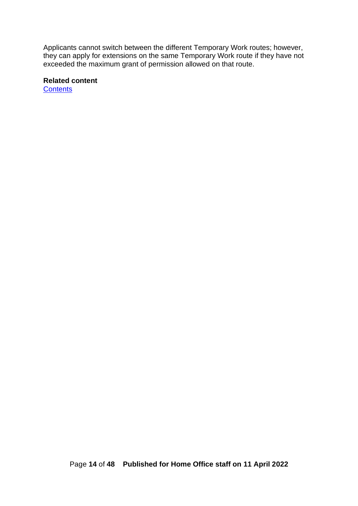Applicants cannot switch between the different Temporary Work routes; however, they can apply for extensions on the same Temporary Work route if they have not exceeded the maximum grant of permission allowed on that route.

#### **Related content**

**[Contents](#page-1-0)**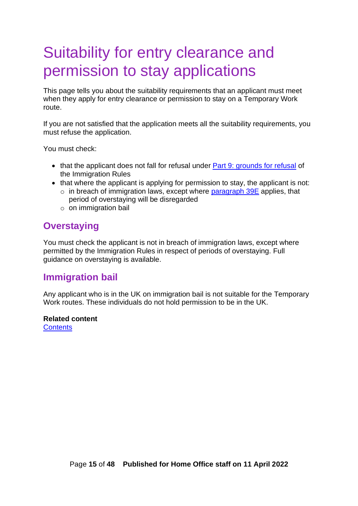# <span id="page-14-0"></span>Suitability for entry clearance and permission to stay applications

This page tells you about the suitability requirements that an applicant must meet when they apply for entry clearance or permission to stay on a Temporary Work route.

If you are not satisfied that the application meets all the suitability requirements, you must refuse the application.

You must check:

- that the applicant does not fall for refusal under **Part 9: grounds for refusal of** the Immigration Rules
- that where the applicant is applying for permission to stay, the applicant is not:
	- $\circ$  in breach of immigration laws, except where [paragraph 39E](https://www.gov.uk/guidance/immigration-rules/immigration-rules-part-1-leave-to-enter-or-stay-in-the-uk) applies, that period of overstaying will be disregarded
	- o on immigration bail

### <span id="page-14-1"></span>**Overstaying**

You must check the applicant is not in breach of immigration laws, except where permitted by the Immigration Rules in respect of periods of overstaying. Full guidance on overstaying is available.

### <span id="page-14-2"></span>**Immigration bail**

Any applicant who is in the UK on immigration bail is not suitable for the Temporary Work routes. These individuals do not hold permission to be in the UK.

# **Related content**

**[Contents](#page-1-0)**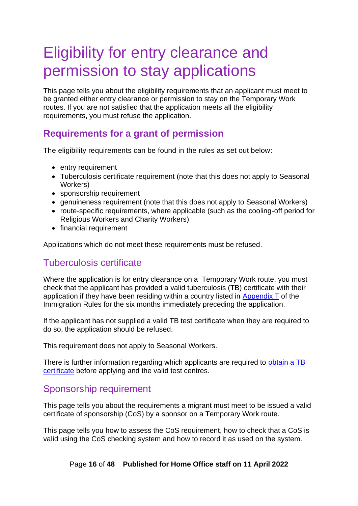# <span id="page-15-0"></span>Eligibility for entry clearance and permission to stay applications

This page tells you about the eligibility requirements that an applicant must meet to be granted either entry clearance or permission to stay on the Temporary Work routes. If you are not satisfied that the application meets all the eligibility requirements, you must refuse the application.

# <span id="page-15-1"></span>**Requirements for a grant of permission**

The eligibility requirements can be found in the rules as set out below:

- entry requirement
- Tuberculosis certificate requirement (note that this does not apply to Seasonal Workers)
- sponsorship requirement
- genuineness requirement (note that this does not apply to Seasonal Workers)
- route-specific requirements, where applicable (such as the cooling-off period for Religious Workers and Charity Workers)
- financial requirement

Applications which do not meet these requirements must be refused.

### <span id="page-15-2"></span>Tuberculosis certificate

Where the application is for entry clearance on a Temporary Work route, you must check that the applicant has provided a valid tuberculosis (TB) certificate with their application if they have been residing within a country listed in Appendix  $\bar{T}$  of the Immigration Rules for the six months immediately preceding the application.

If the applicant has not supplied a valid TB test certificate when they are required to do so, the application should be refused.

This requirement does not apply to Seasonal Workers.

There is further information regarding which applicants are required to [obtain a TB](https://www.gov.uk/tb-test-visa)  [certificate](https://www.gov.uk/tb-test-visa) before applying and the valid test centres.

#### <span id="page-15-3"></span>Sponsorship requirement

This page tells you about the requirements a migrant must meet to be issued a valid certificate of sponsorship (CoS) by a sponsor on a Temporary Work route.

This page tells you how to assess the CoS requirement, how to check that a CoS is valid using the CoS checking system and how to record it as used on the system.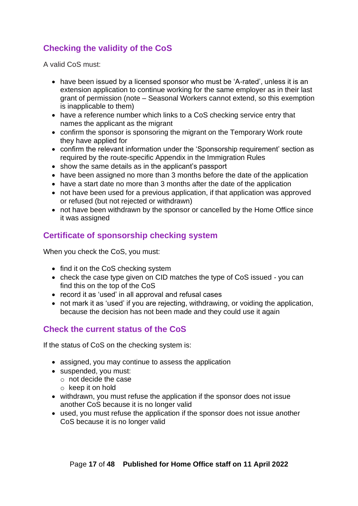# <span id="page-16-0"></span>**Checking the validity of the CoS**

A valid CoS must:

- have been issued by a licensed sponsor who must be 'A-rated', unless it is an extension application to continue working for the same employer as in their last grant of permission (note – Seasonal Workers cannot extend, so this exemption is inapplicable to them)
- have a reference number which links to a CoS checking service entry that names the applicant as the migrant
- confirm the sponsor is sponsoring the migrant on the Temporary Work route they have applied for
- confirm the relevant information under the 'Sponsorship requirement' section as required by the route-specific Appendix in the Immigration Rules
- show the same details as in the applicant's passport
- have been assigned no more than 3 months before the date of the application
- have a start date no more than 3 months after the date of the application
- not have been used for a previous application, if that application was approved or refused (but not rejected or withdrawn)
- not have been withdrawn by the sponsor or cancelled by the Home Office since it was assigned

### <span id="page-16-1"></span>**Certificate of sponsorship checking system**

When you check the CoS, you must:

- find it on the CoS checking system
- check the case type given on CID matches the type of CoS issued you can find this on the top of the CoS
- record it as 'used' in all approval and refusal cases
- not mark it as 'used' if you are rejecting, withdrawing, or voiding the application, because the decision has not been made and they could use it again

#### <span id="page-16-2"></span>**Check the current status of the CoS**

If the status of CoS on the checking system is:

- assigned, you may continue to assess the application
- suspended, you must:
	- o not decide the case
	- o keep it on hold
- withdrawn, you must refuse the application if the sponsor does not issue another CoS because it is no longer valid
- used, you must refuse the application if the sponsor does not issue another CoS because it is no longer valid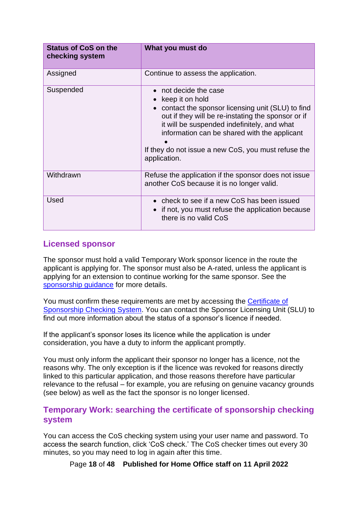| <b>Status of CoS on the</b><br>checking system | What you must do                                                                                                                                                                                                                                                                                                       |
|------------------------------------------------|------------------------------------------------------------------------------------------------------------------------------------------------------------------------------------------------------------------------------------------------------------------------------------------------------------------------|
| Assigned                                       | Continue to assess the application.                                                                                                                                                                                                                                                                                    |
| Suspended                                      | not decide the case<br>keep it on hold<br>contact the sponsor licensing unit (SLU) to find<br>out if they will be re-instating the sponsor or if<br>it will be suspended indefinitely, and what<br>information can be shared with the applicant<br>If they do not issue a new CoS, you must refuse the<br>application. |
| Withdrawn                                      | Refuse the application if the sponsor does not issue<br>another CoS because it is no longer valid.                                                                                                                                                                                                                     |
| Used                                           | check to see if a new CoS has been issued<br>if not, you must refuse the application because<br>there is no valid CoS                                                                                                                                                                                                  |

#### <span id="page-17-0"></span>**Licensed sponsor**

The sponsor must hold a valid Temporary Work sponsor licence in the route the applicant is applying for. The sponsor must also be A-rated, unless the applicant is applying for an extension to continue working for the same sponsor. See the [sponsorship guidance](https://www.gov.uk/government/collections/sponsorship-information-for-employers-and-educators) for more details.

You must confirm these requirements are met by accessing the Certificate of Sponsorship Checking System. You can contact the Sponsor Licensing Unit (SLU) to find out more information about the status of a sponsor's licence if needed.

If the applicant's sponsor loses its licence while the application is under consideration, you have a duty to inform the applicant promptly.

You must only inform the applicant their sponsor no longer has a licence, not the reasons why. The only exception is if the licence was revoked for reasons directly linked to this particular application, and those reasons therefore have particular relevance to the refusal – for example, you are refusing on genuine vacancy grounds (see below) as well as the fact the sponsor is no longer licensed.

#### <span id="page-17-1"></span>**Temporary Work: searching the certificate of sponsorship checking system**

You can access the CoS checking system using your user name and password. To access the search function, click 'CoS check.' The CoS checker times out every 30 minutes, so you may need to log in again after this time.

Page **18** of **48 Published for Home Office staff on 11 April 2022**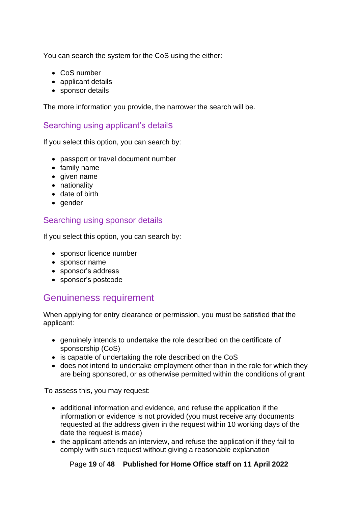You can search the system for the CoS using the either:

- CoS number
- applicant details
- sponsor details

The more information you provide, the narrower the search will be.

#### <span id="page-18-0"></span>Searching using applicant's details

If you select this option, you can search by:

- passport or travel document number
- family name
- given name
- nationality
- date of birth
- gender

#### <span id="page-18-1"></span>Searching using sponsor details

If you select this option, you can search by:

- sponsor licence number
- sponsor name
- sponsor's address
- sponsor's postcode

# <span id="page-18-2"></span>Genuineness requirement

When applying for entry clearance or permission, you must be satisfied that the applicant:

- genuinely intends to undertake the role described on the certificate of sponsorship (CoS)
- is capable of undertaking the role described on the CoS
- does not intend to undertake employment other than in the role for which they are being sponsored, or as otherwise permitted within the conditions of grant

To assess this, you may request:

- additional information and evidence, and refuse the application if the information or evidence is not provided (you must receive any documents requested at the address given in the request within 10 working days of the date the request is made)
- the applicant attends an interview, and refuse the application if they fail to comply with such request without giving a reasonable explanation

#### Page **19** of **48 Published for Home Office staff on 11 April 2022**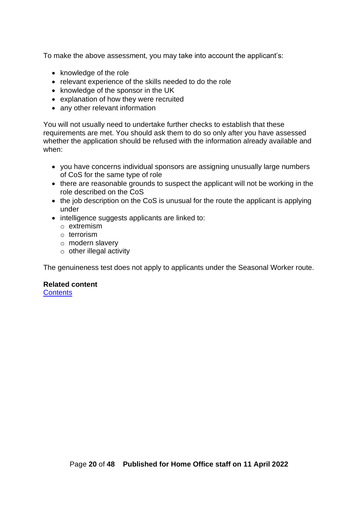To make the above assessment, you may take into account the applicant's:

- knowledge of the role
- relevant experience of the skills needed to do the role
- knowledge of the sponsor in the UK
- explanation of how they were recruited
- any other relevant information

You will not usually need to undertake further checks to establish that these requirements are met. You should ask them to do so only after you have assessed whether the application should be refused with the information already available and when:

- you have concerns individual sponsors are assigning unusually large numbers of CoS for the same type of role
- there are reasonable grounds to suspect the applicant will not be working in the role described on the CoS
- the job description on the CoS is unusual for the route the applicant is applying under
- intelligence suggests applicants are linked to:
	- o extremism
	- o terrorism
	- o modern slavery
	- $\circ$  other illegal activity

The genuineness test does not apply to applicants under the Seasonal Worker route.

#### **Related content**

**[Contents](#page-1-0)**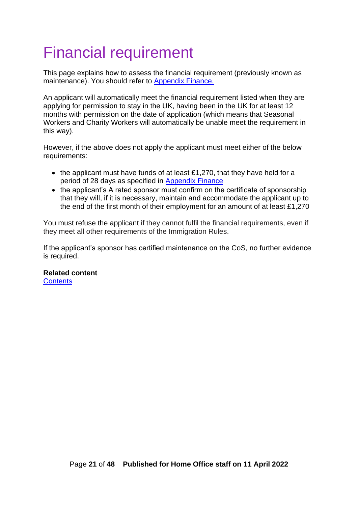# <span id="page-20-0"></span>Financial requirement

This page explains how to assess the financial requirement (previously known as maintenance). You should refer to [Appendix Finance.](https://www.gov.uk/guidance/immigration-rules/immigration-rules-appendix-finance)

An applicant will automatically meet the financial requirement listed when they are applying for permission to stay in the UK, having been in the UK for at least 12 months with permission on the date of application (which means that Seasonal Workers and Charity Workers will automatically be unable meet the requirement in this way).

However, if the above does not apply the applicant must meet either of the below requirements:

- the applicant must have funds of at least £1,270, that they have held for a period of 28 days as specified in [Appendix Finance](https://www.gov.uk/guidance/immigration-rules/immigration-rules-appendix-finance)
- the applicant's A rated sponsor must confirm on the certificate of sponsorship that they will, if it is necessary, maintain and accommodate the applicant up to the end of the first month of their employment for an amount of at least £1,270

You must refuse the applicant if they cannot fulfil the financial requirements, even if they meet all other requirements of the Immigration Rules.

If the applicant's sponsor has certified maintenance on the CoS, no further evidence is required.

**Related content [Contents](#page-1-0)**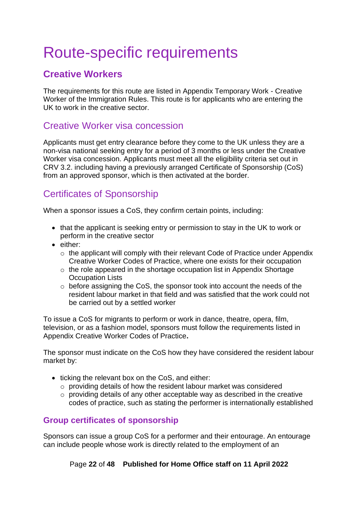# <span id="page-21-0"></span>Route-specific requirements

# <span id="page-21-1"></span>**Creative Workers**

The requirements for this route are listed in Appendix Temporary Work - Creative Worker of the Immigration Rules. This route is for applicants who are entering the UK to work in the creative sector.

# <span id="page-21-2"></span>Creative Worker visa concession

Applicants must get entry clearance before they come to the UK unless they are a non-visa national seeking entry for a period of 3 months or less under the Creative Worker visa concession. Applicants must meet all the eligibility criteria set out in CRV 3.2. including having a previously arranged Certificate of Sponsorship (CoS) from an approved sponsor, which is then activated at the border.

# <span id="page-21-3"></span>Certificates of Sponsorship

When a sponsor issues a CoS, they confirm certain points, including:

- that the applicant is seeking entry or permission to stay in the UK to work or perform in the creative sector
- either:
	- o the applicant will comply with their relevant Code of Practice under Appendix Creative Worker Codes of Practice, where one exists for their occupation
	- o the role appeared in the shortage occupation list in Appendix Shortage Occupation Lists
	- o before assigning the CoS, the sponsor took into account the needs of the resident labour market in that field and was satisfied that the work could not be carried out by a settled worker

To issue a CoS for migrants to perform or work in dance, theatre, opera, film, television, or as a fashion model, sponsors must follow the requirements listed in Appendix Creative Worker Codes of Practice**.**

The sponsor must indicate on the CoS how they have considered the resident labour market by:

- ticking the relevant box on the CoS, and either:
	- o providing details of how the resident labour market was considered
	- o providing details of any other acceptable way as described in the creative codes of practice, such as stating the performer is internationally established

#### <span id="page-21-4"></span>**Group certificates of sponsorship**

Sponsors can issue a group CoS for a performer and their entourage. An entourage can include people whose work is directly related to the employment of an

Page **22** of **48 Published for Home Office staff on 11 April 2022**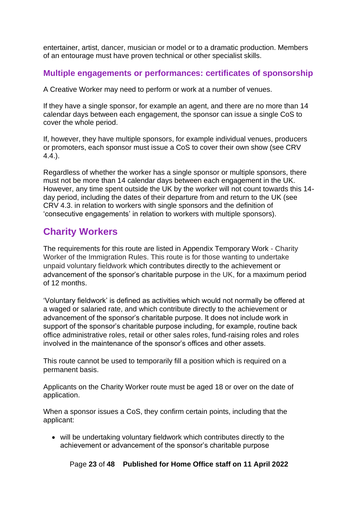entertainer, artist, dancer, musician or model or to a dramatic production. Members of an entourage must have proven technical or other specialist skills.

#### <span id="page-22-0"></span>**Multiple engagements or performances: certificates of sponsorship**

A Creative Worker may need to perform or work at a number of venues.

If they have a single sponsor, for example an agent, and there are no more than 14 calendar days between each engagement, the sponsor can issue a single CoS to cover the whole period.

If, however, they have multiple sponsors, for example individual venues, producers or promoters, each sponsor must issue a CoS to cover their own show (see CRV 4.4.).

Regardless of whether the worker has a single sponsor or multiple sponsors, there must not be more than 14 calendar days between each engagement in the UK. However, any time spent outside the UK by the worker will not count towards this 14 day period, including the dates of their departure from and return to the UK (see CRV 4.3. in relation to workers with single sponsors and the definition of 'consecutive engagements' in relation to workers with multiple sponsors).

# <span id="page-22-1"></span>**Charity Workers**

The requirements for this route are listed in Appendix Temporary Work - Charity Worker of the Immigration Rules. This route is for those wanting to undertake unpaid voluntary fieldwork which contributes directly to the achievement or advancement of the sponsor's charitable purpose in the UK, for a maximum period of 12 months.

'Voluntary fieldwork' is defined as activities which would not normally be offered at a waged or salaried rate, and which contribute directly to the achievement or advancement of the sponsor's charitable purpose. It does not include work in support of the sponsor's charitable purpose including, for example, routine back office administrative roles, retail or other sales roles, fund-raising roles and roles involved in the maintenance of the sponsor's offices and other assets.

This route cannot be used to temporarily fill a position which is required on a permanent basis.

Applicants on the Charity Worker route must be aged 18 or over on the date of application.

When a sponsor issues a CoS, they confirm certain points, including that the applicant:

• will be undertaking voluntary fieldwork which contributes directly to the achievement or advancement of the sponsor's charitable purpose

Page **23** of **48 Published for Home Office staff on 11 April 2022**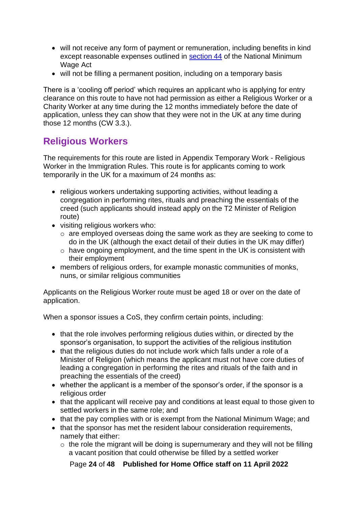- will not receive any form of payment or remuneration, including benefits in kind except reasonable expenses outlined in [section 44](http://www.legislation.gov.uk/ukpga/1998/39/section/44) of the National Minimum Wage Act
- will not be filling a permanent position, including on a temporary basis

There is a 'cooling off period' which requires an applicant who is applying for entry clearance on this route to have not had permission as either a Religious Worker or a Charity Worker at any time during the 12 months immediately before the date of application, unless they can show that they were not in the UK at any time during those 12 months (CW 3.3.).

# <span id="page-23-0"></span>**Religious Workers**

The requirements for this route are listed in Appendix Temporary Work - Religious Worker in the Immigration Rules. This route is for applicants coming to work temporarily in the UK for a maximum of 24 months as:

- religious workers undertaking supporting activities, without leading a congregation in performing rites, rituals and preaching the essentials of the creed (such applicants should instead apply on the T2 Minister of Religion route)
- visiting religious workers who:
	- o are employed overseas doing the same work as they are seeking to come to do in the UK (although the exact detail of their duties in the UK may differ)
	- o have ongoing employment, and the time spent in the UK is consistent with their employment
- members of religious orders, for example monastic communities of monks, nuns, or similar religious communities

Applicants on the Religious Worker route must be aged 18 or over on the date of application.

When a sponsor issues a CoS, they confirm certain points, including:

- that the role involves performing religious duties within, or directed by the sponsor's organisation, to support the activities of the religious institution
- that the religious duties do not include work which falls under a role of a Minister of Religion (which means the applicant must not have core duties of leading a congregation in performing the rites and rituals of the faith and in preaching the essentials of the creed)
- whether the applicant is a member of the sponsor's order, if the sponsor is a religious order
- that the applicant will receive pay and conditions at least equal to those given to settled workers in the same role; and
- that the pay complies with or is exempt from the National Minimum Wage; and
- that the sponsor has met the resident labour consideration requirements, namely that either:
	- $\circ$  the role the migrant will be doing is supernumerary and they will not be filling a vacant position that could otherwise be filled by a settled worker

Page **24** of **48 Published for Home Office staff on 11 April 2022**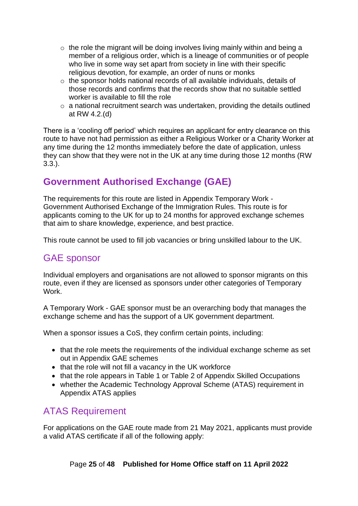- $\circ$  the role the migrant will be doing involves living mainly within and being a member of a religious order, which is a lineage of communities or of people who live in some way set apart from society in line with their specific religious devotion, for example, an order of nuns or monks
- o the sponsor holds national records of all available individuals, details of those records and confirms that the records show that no suitable settled worker is available to fill the role
- $\circ$  a national recruitment search was undertaken, providing the details outlined at RW 4.2.(d)

There is a 'cooling off period' which requires an applicant for entry clearance on this route to have not had permission as either a Religious Worker or a Charity Worker at any time during the 12 months immediately before the date of application, unless they can show that they were not in the UK at any time during those 12 months (RW 3.3.).

# <span id="page-24-0"></span>**Government Authorised Exchange (GAE)**

The requirements for this route are listed in Appendix Temporary Work - Government Authorised Exchange of the Immigration Rules. This route is for applicants coming to the UK for up to 24 months for approved exchange schemes that aim to share knowledge, experience, and best practice.

This route cannot be used to fill job vacancies or bring unskilled labour to the UK.

# <span id="page-24-1"></span>GAE sponsor

Individual employers and organisations are not allowed to sponsor migrants on this route, even if they are licensed as sponsors under other categories of Temporary Work.

A Temporary Work - GAE sponsor must be an overarching body that manages the exchange scheme and has the support of a UK government department.

When a sponsor issues a CoS, they confirm certain points, including:

- that the role meets the requirements of the individual exchange scheme as set out in Appendix GAE schemes
- that the role will not fill a vacancy in the UK workforce
- that the role appears in Table 1 or Table 2 of Appendix Skilled Occupations
- whether the Academic Technology Approval Scheme (ATAS) requirement in Appendix ATAS applies

# <span id="page-24-2"></span>ATAS Requirement

For applications on the GAE route made from 21 May 2021, applicants must provide a valid ATAS certificate if all of the following apply: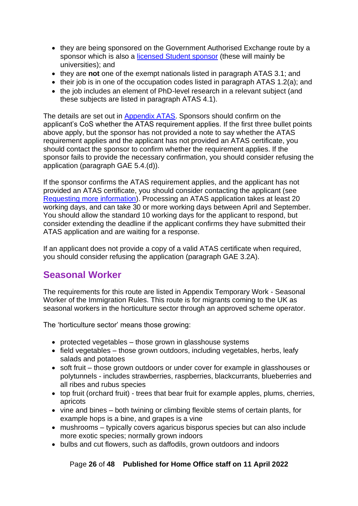- they are being sponsored on the Government Authorised Exchange route by a sponsor which is also a [licensed Student sponsor](https://www.gov.uk/government/publications/register-of-licensed-sponsors-students) (these will mainly be universities); and
- they are **not** one of the exempt nationals listed in paragraph ATAS 3.1; and
- their job is in one of the occupation codes listed in paragraph ATAS 1.2(a); and
- the job includes an element of PhD-level research in a relevant subject (and these subjects are listed in paragraph ATAS 4.1).

The details are set out in [Appendix ATAS.](https://gbr01.safelinks.protection.outlook.com/?url=https%3A%2F%2Fwww.gov.uk%2Fguidance%2Fimmigration-rules%2Fimmigration-rules-appendix-atas-academic-technology-approval-scheme-atas&data=04%7C01%7CRebecca.Scully%40homeoffice.gov.uk%7Cb14891c6ffa94aa5c6da08d8eef06cac%7Cf24d93ecb2914192a08af182245945c2%7C0%7C0%7C637522063662596945%7CUnknown%7CTWFpbGZsb3d8eyJWIjoiMC4wLjAwMDAiLCJQIjoiV2luMzIiLCJBTiI6Ik1haWwiLCJXVCI6Mn0%3D%7C1000&sdata=stzpnuWJ7gC86eAo2pH%2F4LqKGCMKRduMJX42EwE9f7w%3D&reserved=0) Sponsors should confirm on the applicant's CoS whether the ATAS requirement applies. If the first three bullet points above apply, but the sponsor has not provided a note to say whether the ATAS requirement applies and the applicant has not provided an ATAS certificate, you should contact the sponsor to confirm whether the requirement applies. If the sponsor fails to provide the necessary confirmation, you should consider refusing the application (paragraph GAE 5.4.(d)).

If the sponsor confirms the ATAS requirement applies, and the applicant has not provided an ATAS certificate, you should consider contacting the applicant (see [Requesting more information\)](#page-7-0). Processing an ATAS application takes at least 20 working days, and can take 30 or more working days between April and September. You should allow the standard 10 working days for the applicant to respond, but consider extending the deadline if the applicant confirms they have submitted their ATAS application and are waiting for a response.

If an applicant does not provide a copy of a valid ATAS certificate when required, you should consider refusing the application (paragraph GAE 3.2A).

# <span id="page-25-0"></span>**Seasonal Worker**

The requirements for this route are listed in Appendix Temporary Work - Seasonal Worker of the Immigration Rules. This route is for migrants coming to the UK as seasonal workers in the horticulture sector through an approved scheme operator.

The 'horticulture sector' means those growing:

- protected vegetables those grown in glasshouse systems
- field vegetables those grown outdoors, including vegetables, herbs, leafy salads and potatoes
- soft fruit those grown outdoors or under cover for example in glasshouses or polytunnels - includes strawberries, raspberries, blackcurrants, blueberries and all ribes and rubus species
- top fruit (orchard fruit) trees that bear fruit for example apples, plums, cherries, apricots
- vine and bines both twining or climbing flexible stems of certain plants, for example hops is a bine, and grapes is a vine
- mushrooms typically covers agaricus bisporus species but can also include more exotic species; normally grown indoors
- bulbs and cut flowers, such as daffodils, grown outdoors and indoors

Page **26** of **48 Published for Home Office staff on 11 April 2022**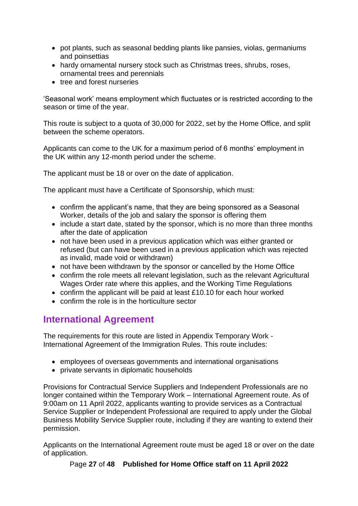- pot plants, such as seasonal bedding plants like pansies, violas, germaniums and poinsettias
- hardy ornamental nursery stock such as Christmas trees, shrubs, roses, ornamental trees and perennials
- tree and forest nurseries

'Seasonal work' means employment which fluctuates or is restricted according to the season or time of the year.

This route is subject to a quota of 30,000 for 2022, set by the Home Office, and split between the scheme operators.

Applicants can come to the UK for a maximum period of 6 months' employment in the UK within any 12-month period under the scheme.

The applicant must be 18 or over on the date of application.

The applicant must have a Certificate of Sponsorship, which must:

- confirm the applicant's name, that they are being sponsored as a Seasonal Worker, details of the job and salary the sponsor is offering them
- include a start date, stated by the sponsor, which is no more than three months after the date of application
- not have been used in a previous application which was either granted or refused (but can have been used in a previous application which was rejected as invalid, made void or withdrawn)
- not have been withdrawn by the sponsor or cancelled by the Home Office
- confirm the role meets all relevant legislation, such as the relevant Agricultural Wages Order rate where this applies, and the Working Time Regulations
- confirm the applicant will be paid at least £10.10 for each hour worked
- confirm the role is in the horticulture sector

# <span id="page-26-0"></span>**International Agreement**

The requirements for this route are listed in Appendix Temporary Work - International Agreement of the Immigration Rules. This route includes:

- employees of overseas governments and international organisations
- private servants in diplomatic households

Provisions for Contractual Service Suppliers and Independent Professionals are no longer contained within the Temporary Work – International Agreement route. As of 9:00am on 11 April 2022, applicants wanting to provide services as a Contractual Service Supplier or Independent Professional are required to apply under the Global Business Mobility Service Supplier route, including if they are wanting to extend their permission.

Applicants on the International Agreement route must be aged 18 or over on the date of application.

Page **27** of **48 Published for Home Office staff on 11 April 2022**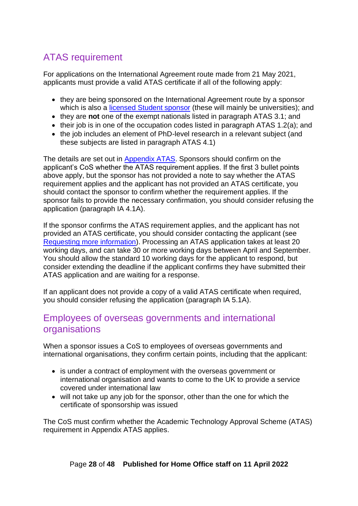# <span id="page-27-0"></span>ATAS requirement

For applications on the International Agreement route made from 21 May 2021, applicants must provide a valid ATAS certificate if all of the following apply:

- they are being sponsored on the International Agreement route by a sponsor which is also a [licensed Student sponsor](https://www.gov.uk/government/publications/register-of-licensed-sponsors-students) (these will mainly be universities); and
- they are **not** one of the exempt nationals listed in paragraph ATAS 3.1; and
- their job is in one of the occupation codes listed in paragraph ATAS 1.2(a); and
- the job includes an element of PhD-level research in a relevant subject (and these subjects are listed in paragraph ATAS 4.1)

The details are set out in [Appendix ATAS.](https://gbr01.safelinks.protection.outlook.com/?url=https%3A%2F%2Fwww.gov.uk%2Fguidance%2Fimmigration-rules%2Fimmigration-rules-appendix-atas-academic-technology-approval-scheme-atas&data=04%7C01%7CRebecca.Scully%40homeoffice.gov.uk%7Cb14891c6ffa94aa5c6da08d8eef06cac%7Cf24d93ecb2914192a08af182245945c2%7C0%7C0%7C637522063662596945%7CUnknown%7CTWFpbGZsb3d8eyJWIjoiMC4wLjAwMDAiLCJQIjoiV2luMzIiLCJBTiI6Ik1haWwiLCJXVCI6Mn0%3D%7C1000&sdata=stzpnuWJ7gC86eAo2pH%2F4LqKGCMKRduMJX42EwE9f7w%3D&reserved=0) Sponsors should confirm on the applicant's CoS whether the ATAS requirement applies. If the first 3 bullet points above apply, but the sponsor has not provided a note to say whether the ATAS requirement applies and the applicant has not provided an ATAS certificate, you should contact the sponsor to confirm whether the requirement applies. If the sponsor fails to provide the necessary confirmation, you should consider refusing the application (paragraph IA 4.1A).

If the sponsor confirms the ATAS requirement applies, and the applicant has not provided an ATAS certificate, you should consider contacting the applicant (see [Requesting more information\)](#page-7-0). Processing an ATAS application takes at least 20 working days, and can take 30 or more working days between April and September. You should allow the standard 10 working days for the applicant to respond, but consider extending the deadline if the applicant confirms they have submitted their ATAS application and are waiting for a response.

If an applicant does not provide a copy of a valid ATAS certificate when required, you should consider refusing the application (paragraph IA 5.1A).

### <span id="page-27-1"></span>Employees of overseas governments and international organisations

When a sponsor issues a CoS to employees of overseas governments and international organisations, they confirm certain points, including that the applicant:

- is under a contract of employment with the overseas government or international organisation and wants to come to the UK to provide a service covered under international law
- will not take up any job for the sponsor, other than the one for which the certificate of sponsorship was issued

The CoS must confirm whether the Academic Technology Approval Scheme (ATAS) requirement in Appendix ATAS applies.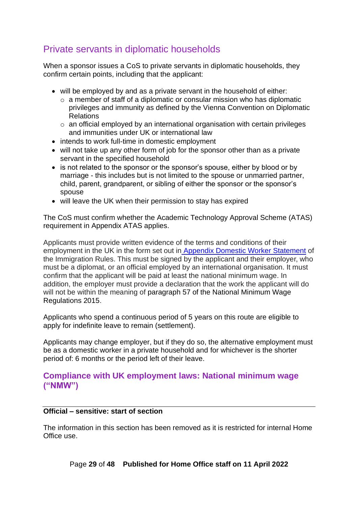# <span id="page-28-0"></span>Private servants in diplomatic households

When a sponsor issues a CoS to private servants in diplomatic households, they confirm certain points, including that the applicant:

- will be employed by and as a private servant in the household of either:
	- $\circ$  a member of staff of a diplomatic or consular mission who has diplomatic privileges and immunity as defined by the Vienna Convention on Diplomatic Relations
	- $\circ$  an official employed by an international organisation with certain privileges and immunities under UK or international law
- intends to work full-time in domestic employment
- will not take up any other form of job for the sponsor other than as a private servant in the specified household
- is not related to the sponsor or the sponsor's spouse, either by blood or by marriage - this includes but is not limited to the spouse or unmarried partner, child, parent, grandparent, or sibling of either the sponsor or the sponsor's spouse
- will leave the UK when their permission to stay has expired

The CoS must confirm whether the Academic Technology Approval Scheme (ATAS) requirement in Appendix ATAS applies.

Applicants must provide written evidence of the terms and conditions of their employment in the UK in the form set out in [Appendix Domestic Worker Statement](https://www.gov.uk/guidance/immigration-rules/immigration-rules-appendix-domestic-worker-statement) of the Immigration Rules. This must be signed by the applicant and their employer, who must be a diplomat, or an official employed by an international organisation. It must confirm that the applicant will be paid at least the national minimum wage. In addition, the employer must provide a declaration that the work the applicant will do will not be within the meaning of paragraph 57 of the National Minimum Wage Regulations 2015.

Applicants who spend a continuous period of 5 years on this route are eligible to apply for indefinite leave to remain (settlement).

Applicants may change employer, but if they do so, the alternative employment must be as a domestic worker in a private household and for whichever is the shorter period of: 6 months or the period left of their leave.

#### <span id="page-28-1"></span>**Compliance with UK employment laws: National minimum wage ("NMW")**

#### **Official – sensitive: start of section**

The information in this section has been removed as it is restricted for internal Home Office use.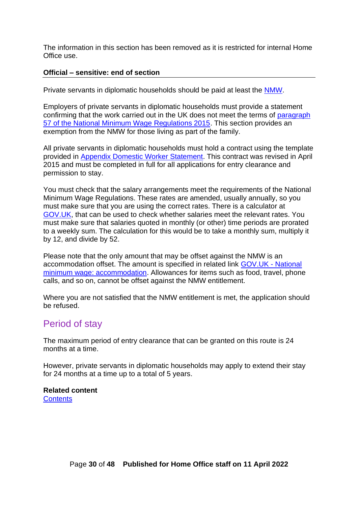The information in this section has been removed as it is restricted for internal Home Office use.

#### **Official – sensitive: end of section**

Private servants in diplomatic households should be paid at least the [NMW.](https://www.gov.uk/national-minimum-wage-rates)

Employers of private servants in diplomatic households must provide a statement confirming that the work carried out in the UK does not meet the terms of [para](http://www.legislation.gov.uk/ukdsi/2015/9780111127964/regulation/57)graph 57 of the National Minimum Wage Regulations 2015. This section provides an exemption from the NMW for those living as part of the family.

All private servants in diplomatic households must hold a contract using the template provided in [Appendix Domestic Worker Statement.](https://www.gov.uk/guidance/immigration-rules/immigration-rules-appendix-domestic-worker-statement) This contract was revised in April 2015 and must be completed in full for all applications for entry clearance and permission to stay.

You must check that the salary arrangements meet the requirements of the National Minimum Wage Regulations. These rates are amended, usually annually, so you must make sure that you are using the correct rates. There is a calculator at [GOV.UK,](https://www.gov.uk/national-minimum-wage-rates) that can be used to check whether salaries meet the relevant rates. You must make sure that salaries quoted in monthly (or other) time periods are prorated to a weekly sum. The calculation for this would be to take a monthly sum, multiply it by 12, and divide by 52.

Please note that the only amount that may be offset against the NMW is an accommodation offset. The amount is specified in related link [GOV.UK -](https://www.gov.uk/national-minimum-wage-accommodation) National [minimum wage: accommodation.](https://www.gov.uk/national-minimum-wage-accommodation) Allowances for items such as food, travel, phone calls, and so on, cannot be offset against the NMW entitlement.

Where you are not satisfied that the NMW entitlement is met, the application should be refused.

### <span id="page-29-0"></span>Period of stay

The maximum period of entry clearance that can be granted on this route is 24 months at a time.

However, private servants in diplomatic households may apply to extend their stay for 24 months at a time up to a total of 5 years.

**Related content [Contents](#page-1-0)**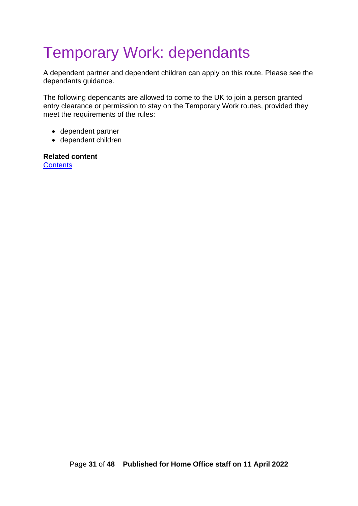# <span id="page-30-0"></span>Temporary Work: dependants

A dependent partner and dependent children can apply on this route. Please see the dependants guidance.

The following dependants are allowed to come to the UK to join a person granted entry clearance or permission to stay on the Temporary Work routes, provided they meet the requirements of the rules:

- dependent partner
- dependent children

**Related content [Contents](#page-1-0)**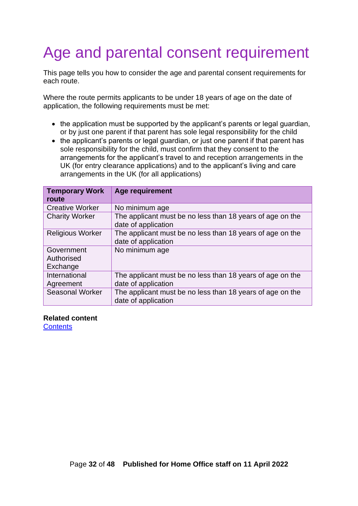# <span id="page-31-0"></span>Age and parental consent requirement

This page tells you how to consider the age and parental consent requirements for each route.

Where the route permits applicants to be under 18 years of age on the date of application, the following requirements must be met:

- the application must be supported by the applicant's parents or legal guardian, or by just one parent if that parent has sole legal responsibility for the child
- the applicant's parents or legal guardian, or just one parent if that parent has sole responsibility for the child, must confirm that they consent to the arrangements for the applicant's travel to and reception arrangements in the UK (for entry clearance applications) and to the applicant's living and care arrangements in the UK (for all applications)

| <b>Temporary Work</b><br>route       | Age requirement                                                                  |
|--------------------------------------|----------------------------------------------------------------------------------|
| <b>Creative Worker</b>               | No minimum age                                                                   |
| <b>Charity Worker</b>                | The applicant must be no less than 18 years of age on the<br>date of application |
| <b>Religious Worker</b>              | The applicant must be no less than 18 years of age on the<br>date of application |
| Government<br>Authorised<br>Exchange | No minimum age                                                                   |
| International<br>Agreement           | The applicant must be no less than 18 years of age on the<br>date of application |
| <b>Seasonal Worker</b>               | The applicant must be no less than 18 years of age on the<br>date of application |

#### **Related content**

**[Contents](#page-1-0)**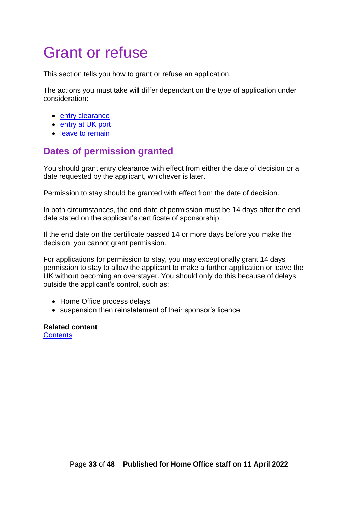# <span id="page-32-0"></span>Grant or refuse

This section tells you how to grant or refuse an application.

The actions you must take will differ dependant on the type of application under consideration:

- entry clearance
- entry at UK port
- leave to remain

# <span id="page-32-1"></span>**Dates of permission granted**

You should grant entry clearance with effect from either the date of decision or a date requested by the applicant, whichever is later.

Permission to stay should be granted with effect from the date of decision.

In both circumstances, the end date of permission must be 14 days after the end date stated on the applicant's certificate of sponsorship.

If the end date on the certificate passed 14 or more days before you make the decision, you cannot grant permission.

For applications for permission to stay, you may exceptionally grant 14 days permission to stay to allow the applicant to make a further application or leave the UK without becoming an overstayer. You should only do this because of delays outside the applicant's control, such as:

- Home Office process delays
- suspension then reinstatement of their sponsor's licence

**Related content [Contents](#page-1-0)**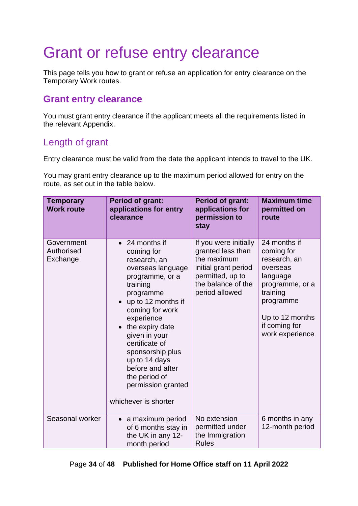# <span id="page-33-0"></span>Grant or refuse entry clearance

This page tells you how to grant or refuse an application for entry clearance on the Temporary Work routes.

### <span id="page-33-1"></span>**Grant entry clearance**

You must grant entry clearance if the applicant meets all the requirements listed in the relevant Appendix.

# <span id="page-33-2"></span>Length of grant

Entry clearance must be valid from the date the applicant intends to travel to the UK.

You may grant entry clearance up to the maximum period allowed for entry on the route, as set out in the table below.

| <b>Temporary</b><br><b>Work route</b> | <b>Period of grant:</b><br>applications for entry<br>clearance                                                                                                                                                                                                                                                                                                             | <b>Period of grant:</b><br>applications for<br>permission to<br>stay                                                                          | <b>Maximum time</b><br>permitted on<br>route                                                                                                                          |
|---------------------------------------|----------------------------------------------------------------------------------------------------------------------------------------------------------------------------------------------------------------------------------------------------------------------------------------------------------------------------------------------------------------------------|-----------------------------------------------------------------------------------------------------------------------------------------------|-----------------------------------------------------------------------------------------------------------------------------------------------------------------------|
| Government<br>Authorised<br>Exchange  | 24 months if<br>$\bullet$<br>coming for<br>research, an<br>overseas language<br>programme, or a<br>training<br>programme<br>up to 12 months if<br>$\bullet$<br>coming for work<br>experience<br>the expiry date<br>given in your<br>certificate of<br>sponsorship plus<br>up to 14 days<br>before and after<br>the period of<br>permission granted<br>whichever is shorter | If you were initially<br>granted less than<br>the maximum<br>initial grant period<br>permitted, up to<br>the balance of the<br>period allowed | 24 months if<br>coming for<br>research, an<br>overseas<br>language<br>programme, or a<br>training<br>programme<br>Up to 12 months<br>if coming for<br>work experience |
| Seasonal worker                       | a maximum period<br>$\bullet$<br>of 6 months stay in<br>the UK in any 12-<br>month period                                                                                                                                                                                                                                                                                  | No extension<br>permitted under<br>the Immigration<br><b>Rules</b>                                                                            | 6 months in any<br>12-month period                                                                                                                                    |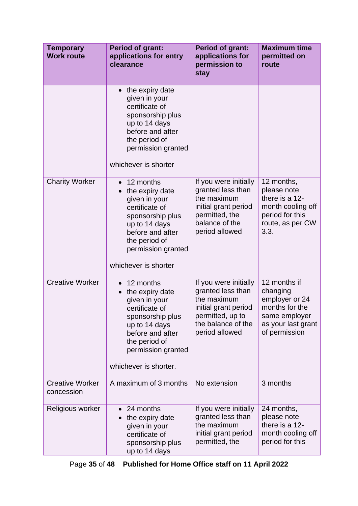| <b>Temporary</b><br><b>Work route</b> | <b>Period of grant:</b><br>applications for entry<br>clearance                                                                                                                                        | <b>Period of grant:</b><br>applications for<br>permission to<br>stay                                                                          | <b>Maximum time</b><br>permitted on<br>route                                                                         |
|---------------------------------------|-------------------------------------------------------------------------------------------------------------------------------------------------------------------------------------------------------|-----------------------------------------------------------------------------------------------------------------------------------------------|----------------------------------------------------------------------------------------------------------------------|
|                                       | the expiry date<br>given in your<br>certificate of<br>sponsorship plus<br>up to 14 days<br>before and after<br>the period of<br>permission granted<br>whichever is shorter                            |                                                                                                                                               |                                                                                                                      |
| <b>Charity Worker</b>                 | 12 months<br>$\bullet$<br>the expiry date<br>given in your<br>certificate of<br>sponsorship plus<br>up to 14 days<br>before and after<br>the period of<br>permission granted<br>whichever is shorter  | If you were initially<br>granted less than<br>the maximum<br>initial grant period<br>permitted, the<br>balance of the<br>period allowed       | 12 months,<br>please note<br>there is a 12-<br>month cooling off<br>period for this<br>route, as per CW<br>3.3.      |
| <b>Creative Worker</b>                | 12 months<br>$\bullet$<br>the expiry date<br>given in your<br>certificate of<br>sponsorship plus<br>up to 14 days<br>before and after<br>the period of<br>permission granted<br>whichever is shorter. | If you were initially<br>granted less than<br>the maximum<br>initial grant period<br>permitted, up to<br>the balance of the<br>period allowed | 12 months if<br>changing<br>employer or 24<br>months for the<br>same employer<br>as your last grant<br>of permission |
| <b>Creative Worker</b><br>concession  | A maximum of 3 months                                                                                                                                                                                 | No extension                                                                                                                                  | 3 months                                                                                                             |
| Religious worker                      | 24 months<br>the expiry date<br>given in your<br>certificate of<br>sponsorship plus<br>up to 14 days                                                                                                  | If you were initially<br>granted less than<br>the maximum<br>initial grant period<br>permitted, the                                           | 24 months,<br>please note<br>there is a 12-<br>month cooling off<br>period for this                                  |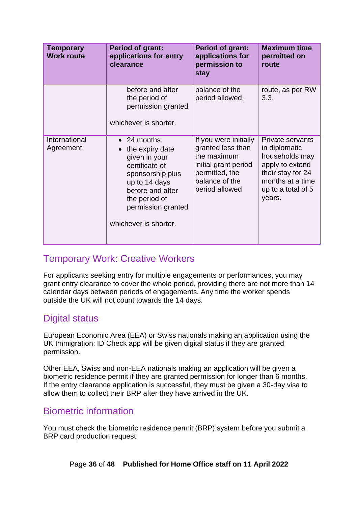| <b>Temporary</b><br><b>Work route</b> | <b>Period of grant:</b><br>applications for entry<br>clearance                                                                                                                                     | <b>Period of grant:</b><br>applications for<br>permission to<br>stay                                                                    | <b>Maximum time</b><br>permitted on<br>route                                                                                                    |
|---------------------------------------|----------------------------------------------------------------------------------------------------------------------------------------------------------------------------------------------------|-----------------------------------------------------------------------------------------------------------------------------------------|-------------------------------------------------------------------------------------------------------------------------------------------------|
|                                       | before and after<br>the period of<br>permission granted<br>whichever is shorter.                                                                                                                   | balance of the<br>period allowed.                                                                                                       | route, as per RW<br>3.3.                                                                                                                        |
| International<br>Agreement            | $\bullet$ 24 months<br>the expiry date<br>given in your<br>certificate of<br>sponsorship plus<br>up to 14 days<br>before and after<br>the period of<br>permission granted<br>whichever is shorter. | If you were initially<br>granted less than<br>the maximum<br>initial grant period<br>permitted, the<br>balance of the<br>period allowed | Private servants<br>in diplomatic<br>households may<br>apply to extend<br>their stay for 24<br>months at a time<br>up to a total of 5<br>years. |

# <span id="page-35-0"></span>Temporary Work: Creative Workers

For applicants seeking entry for multiple engagements or performances, you may grant entry clearance to cover the whole period, providing there are not more than 14 calendar days between periods of engagements. Any time the worker spends outside the UK will not count towards the 14 days.

# <span id="page-35-1"></span>Digital status

European Economic Area (EEA) or Swiss nationals making an application using the UK Immigration: ID Check app will be given digital status if they are granted permission.

Other EEA, Swiss and non-EEA nationals making an application will be given a biometric residence permit if they are granted permission for longer than 6 months. If the entry clearance application is successful, they must be given a 30-day visa to allow them to collect their BRP after they have arrived in the UK.

# <span id="page-35-2"></span>Biometric information

You must check the biometric residence permit (BRP) system before you submit a BRP card production request.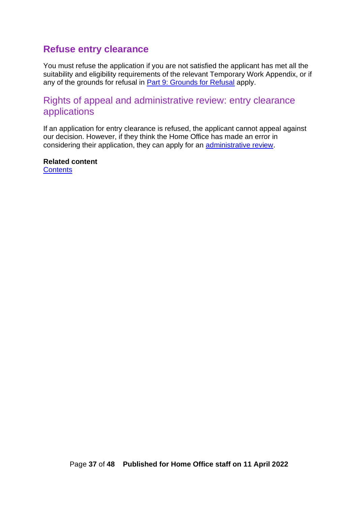# <span id="page-36-0"></span>**Refuse entry clearance**

You must refuse the application if you are not satisfied the applicant has met all the suitability and eligibility requirements of the relevant Temporary Work Appendix, or if any of the grounds for refusal in [Part 9: Grounds for Refusal](https://www.gov.uk/guidance/immigration-rules/immigration-rules-part-9-grounds-for-refusal) apply.

# <span id="page-36-1"></span>Rights of appeal and administrative review: entry clearance applications

If an application for entry clearance is refused, the applicant cannot appeal against our decision. However, if they think the Home Office has made an error in considering their application, they can apply for an [administrative review.](https://www.gov.uk/ask-for-a-visa-administrative-review)

**Related content [Contents](#page-1-0)**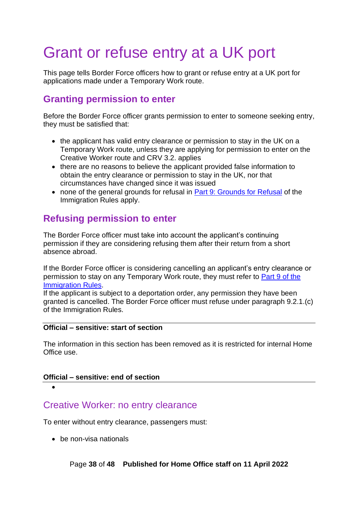# <span id="page-37-0"></span>Grant or refuse entry at a UK port

This page tells Border Force officers how to grant or refuse entry at a UK port for applications made under a Temporary Work route.

### <span id="page-37-1"></span>**Granting permission to enter**

Before the Border Force officer grants permission to enter to someone seeking entry, they must be satisfied that:

- the applicant has valid entry clearance or permission to stay in the UK on a Temporary Work route, unless they are applying for permission to enter on the Creative Worker route and CRV 3.2. applies
- there are no reasons to believe the applicant provided false information to obtain the entry clearance or permission to stay in the UK, nor that circumstances have changed since it was issued
- none of the general grounds for refusal in [Part 9: Grounds for Refusal](https://www.gov.uk/guidance/immigration-rules/immigration-rules-part-9-grounds-for-refusal) of the [Immigration Rules](https://www.gov.uk/guidance/immigration-rules/immigration-rules-part-9-grounds-for-refusal) apply.

# <span id="page-37-2"></span>**Refusing permission to enter**

The Border Force officer must take into account the applicant's continuing permission if they are considering refusing them after their return from a short absence abroad.

If the Border Force officer is considering cancelling an applicant's entry clearance or permission to stay on any Temporary Work route, they must refer to [Part 9 of the](https://www.gov.uk/guidance/immigration-rules/immigration-rules-part-9-grounds-for-refusal)  [Immigration Rules.](https://www.gov.uk/guidance/immigration-rules/immigration-rules-part-9-grounds-for-refusal)

If the applicant is subject to a deportation order, any permission they have been granted is cancelled. The Border Force officer must refuse under paragraph 9.2.1.(c) of the Immigration Rules.

#### **Official – sensitive: start of section**

The information in this section has been removed as it is restricted for internal Home Office use.

#### **Official – sensitive: end of section**

•

### <span id="page-37-3"></span>Creative Worker: no entry clearance

To enter without entry clearance, passengers must:

• be non-visa nationals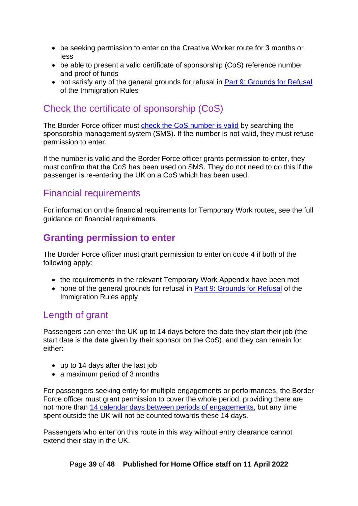- be seeking permission to enter on the Creative Worker route for 3 months or less
- be able to present a valid certificate of sponsorship (CoS) reference number and proof of funds
- not satisfy any of the general grounds for refusal in [Part 9: Grounds for Refusal](https://www.gov.uk/guidance/immigration-rules/immigration-rules-part-9-grounds-for-refusal) [of the Immigration Rules](https://www.gov.uk/guidance/immigration-rules/immigration-rules-part-9-grounds-for-refusal)

# <span id="page-38-0"></span>Check the certificate of sponsorship (CoS)

The Border Force officer must [check the CoS number is valid](#page-16-0) by searching the sponsorship management system (SMS). If the number is not valid, they must refuse permission to enter.

If the number is valid and the Border Force officer grants permission to enter, they must confirm that the CoS has been used on SMS. They do not need to do this if the passenger is re-entering the UK on a CoS which has been used.

# <span id="page-38-1"></span>Financial requirements

For information on the financial requirements for Temporary Work routes, see the full guidance on financial requirements.

# <span id="page-38-2"></span>**Granting permission to enter**

The Border Force officer must grant permission to enter on code 4 if both of the following apply:

- the requirements in the relevant Temporary Work Appendix have been met
- none of the general grounds for refusal in [Part 9: Grounds for Refusal](https://www.gov.uk/guidance/immigration-rules/immigration-rules-part-9-grounds-for-refusal) of the [Immigration Rules](https://www.gov.uk/guidance/immigration-rules/immigration-rules-part-9-grounds-for-refusal) apply

# <span id="page-38-3"></span>Length of grant

Passengers can enter the UK up to 14 days before the date they start their job (the start date is the date given by their sponsor on the CoS), and they can remain for either:

- up to 14 days after the last job
- a maximum period of 3 months

For passengers seeking entry for multiple engagements or performances, the Border Force officer must grant permission to cover the whole period, providing there are not more than [14 calendar days between periods of engagements,](#page-22-0) but any time spent outside the UK will not be counted towards these 14 days.

Passengers who enter on this route in this way without entry clearance cannot extend their stay in the UK.

Page **39** of **48 Published for Home Office staff on 11 April 2022**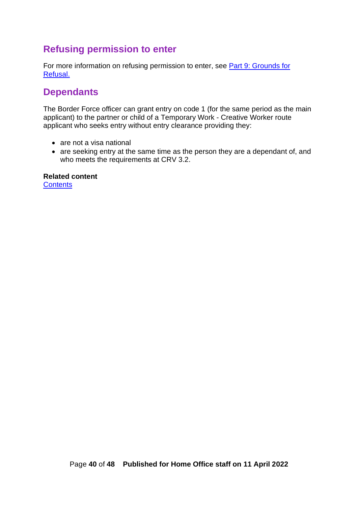# <span id="page-39-0"></span>**Refusing permission to enter**

For more information on refusing permission to enter, see [Part 9: Grounds for](https://www.gov.uk/guidance/immigration-rules/immigration-rules-part-9-grounds-for-refusal)  [Refusal.](https://www.gov.uk/guidance/immigration-rules/immigration-rules-part-9-grounds-for-refusal)

# <span id="page-39-1"></span>**Dependants**

The Border Force officer can grant entry on code 1 (for the same period as the main applicant) to the partner or child of a Temporary Work - Creative Worker route applicant who seeks entry without entry clearance providing they:

- are not a visa national
- are seeking entry at the same time as the person they are a dependant of, and who meets the requirements at CRV 3.2.

**Related content [Contents](#page-1-0)** 

Page **40** of **48 Published for Home Office staff on 11 April 2022**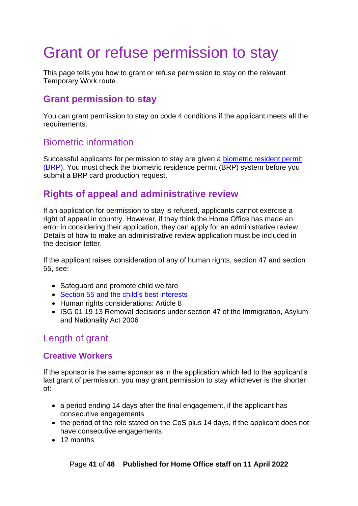# <span id="page-40-0"></span>Grant or refuse permission to stay

This page tells you how to grant or refuse permission to stay on the relevant Temporary Work route.

### <span id="page-40-1"></span>**Grant permission to stay**

You can grant permission to stay on code 4 conditions if the applicant meets all the requirements.

# <span id="page-40-2"></span>Biometric information

Successful applicants for permission to stay are given a biometric resident permit [\(BRP\).](https://www.gov.uk/biometric-residence-permits) You must check the biometric residence permit (BRP) system before you submit a BRP card production request.

# <span id="page-40-3"></span>**Rights of appeal and administrative review**

If an application for permission to stay is refused, applicants cannot exercise a right of appeal in country. However, if they think the Home Office has made an error in considering their application, they can apply for an administrative review. Details of how to make an administrative review application must be included in the decision letter.

If the applicant raises consideration of any of human rights, section 47 and section 55, see:

- Safeguard and promote child welfare
- Section 55 and [the child's best interests](http://www.legislation.gov.uk/ukpga/2009/11/section/55)
- Human rights considerations: Article 8
- ISG 01 19 13 Removal decisions under section 47 of the Immigration, Asylum and Nationality Act 2006

# <span id="page-40-4"></span>Length of grant

#### <span id="page-40-5"></span>**Creative Workers**

If the sponsor is the same sponsor as in the application which led to the applicant's last grant of permission, you may grant permission to stay whichever is the shorter of:

- a period ending 14 days after the final engagement, if the applicant has consecutive engagements
- the period of the role stated on the CoS plus 14 days, if the applicant does not have consecutive engagements
- 12 months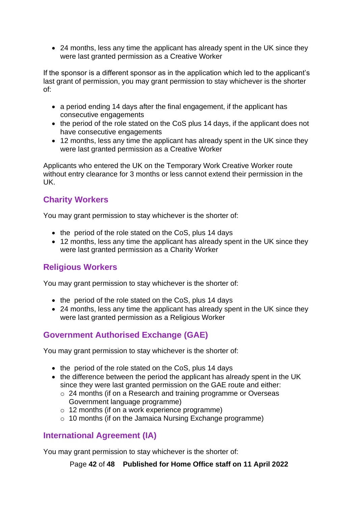• 24 months, less any time the applicant has already spent in the UK since they were last granted permission as a Creative Worker

If the sponsor is a different sponsor as in the application which led to the applicant's last grant of permission, you may grant permission to stay whichever is the shorter of:

- a period ending 14 days after the final engagement, if the applicant has consecutive engagements
- the period of the role stated on the CoS plus 14 days, if the applicant does not have consecutive engagements
- 12 months, less any time the applicant has already spent in the UK since they were last granted permission as a Creative Worker

Applicants who entered the UK on the Temporary Work Creative Worker route without entry clearance for 3 months or less cannot extend their permission in the UK.

### <span id="page-41-0"></span>**Charity Workers**

You may grant permission to stay whichever is the shorter of:

- the period of the role stated on the CoS, plus 14 days
- 12 months, less any time the applicant has already spent in the UK since they were last granted permission as a Charity Worker

### <span id="page-41-1"></span>**Religious Workers**

You may grant permission to stay whichever is the shorter of:

- the period of the role stated on the CoS, plus 14 days
- 24 months, less any time the applicant has already spent in the UK since they were last granted permission as a Religious Worker

### <span id="page-41-2"></span>**Government Authorised Exchange (GAE)**

You may grant permission to stay whichever is the shorter of:

- the period of the role stated on the CoS, plus 14 days
- the difference between the period the applicant has already spent in the UK since they were last granted permission on the GAE route and either:
	- o 24 months (if on a Research and training programme or Overseas Government language programme)
	- o 12 months (if on a work experience programme)
	- o 10 months (if on the Jamaica Nursing Exchange programme)

#### <span id="page-41-3"></span>**International Agreement (IA)**

You may grant permission to stay whichever is the shorter of:

Page **42** of **48 Published for Home Office staff on 11 April 2022**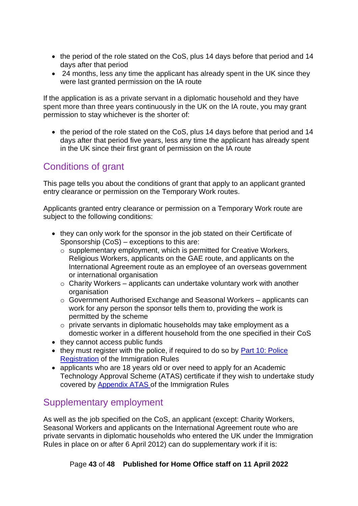- the period of the role stated on the CoS, plus 14 days before that period and 14 days after that period
- 24 months, less any time the applicant has already spent in the UK since they were last granted permission on the IA route

If the application is as a private servant in a diplomatic household and they have spent more than three years continuously in the UK on the IA route, you may grant permission to stay whichever is the shorter of:

• the period of the role stated on the CoS, plus 14 days before that period and 14 days after that period five years, less any time the applicant has already spent in the UK since their first grant of permission on the IA route

# <span id="page-42-0"></span>Conditions of grant

This page tells you about the conditions of grant that apply to an applicant granted entry clearance or permission on the Temporary Work routes.

Applicants granted entry clearance or permission on a Temporary Work route are subject to the following conditions:

- they can only work for the sponsor in the job stated on their Certificate of Sponsorship (CoS) – exceptions to this are:
	- o [supplementary employment,](#page-42-1) which is permitted for Creative Workers, Religious Workers, applicants on the GAE route, and applicants on the International Agreement route as an employee of an overseas government or international organisation
	- $\circ$  Charity Workers applicants can undertake voluntary work with another organisation
	- o Government Authorised Exchange and Seasonal Workers applicants can work for any person the sponsor tells them to, providing the work is permitted by the scheme
	- o private servants in diplomatic households may take employment as a domestic worker in a different household from the one specified in their CoS
- they cannot access public funds
- they must register with the police, if required to do so by **Part 10: Police** [Registration](https://www.gov.uk/guidance/immigration-rules/immigration-rules-part-10-registering-with-the-police) [of the Immigration Rules](https://www.gov.uk/guidance/immigration-rules/immigration-rules-part-9-grounds-for-refusal)
- applicants who are 18 years old or over need to apply for an Academic Technology Approval Scheme (ATAS) certificate if they wish to undertake study covered by [Appendix ATAS](https://www.gov.uk/guidance/immigration-rules/appendix-atas-academic-technology-approval-scheme-atas) of the Immigration Rules

# <span id="page-42-1"></span>Supplementary employment

As well as the job specified on the CoS, an applicant (except: Charity Workers, Seasonal Workers and applicants on the International Agreement route who are private servants in diplomatic households who entered the UK under the Immigration Rules in place on or after 6 April 2012) can do supplementary work if it is: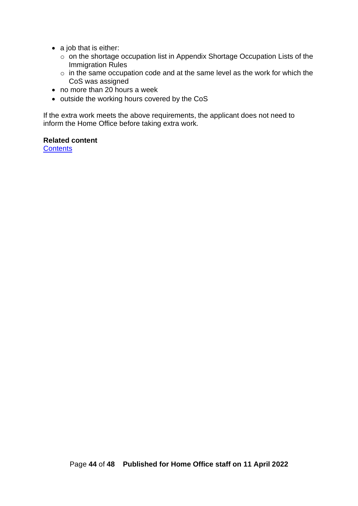- a job that is either:
	- $\circ$  on the shortage occupation list in Appendix Shortage Occupation Lists of the Immigration Rules
	- o in the same occupation code and at the same level as the work for which the CoS was assigned
- no more than 20 hours a week
- outside the working hours covered by the CoS

If the extra work meets the above requirements, the applicant does not need to inform the Home Office before taking extra work.

#### **Related content**

**[Contents](#page-1-0)**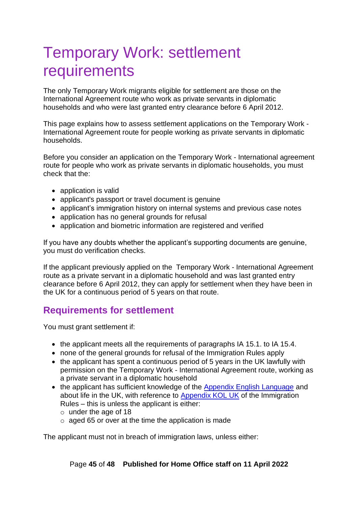# <span id="page-44-0"></span>Temporary Work: settlement requirements

The only Temporary Work migrants eligible for settlement are those on the International Agreement route who work as private servants in diplomatic households and who were last granted entry clearance before 6 April 2012.

This page explains how to assess settlement applications on the Temporary Work - International Agreement route for people working as private servants in diplomatic households.

Before you consider an application on the Temporary Work - International agreement route for people who work as private servants in diplomatic households, you must check that the:

- application is valid
- applicant's passport or travel document is genuine
- applicant's immigration history on internal systems and previous case notes
- application has no general grounds for refusal
- application and biometric information are registered and verified

If you have any doubts whether the applicant's supporting documents are genuine, you must do verification checks.

If the applicant previously applied on the Temporary Work - International Agreement route as a private servant in a diplomatic household and was last granted entry clearance before 6 April 2012, they can apply for settlement when they have been in the UK for a continuous period of 5 years on that route.

# <span id="page-44-1"></span>**Requirements for settlement**

You must grant settlement if:

- the applicant meets all the requirements of paragraphs IA 15.1. to IA 15.4.
- none of the general grounds for refusal [of the Immigration Rules](http://www.ukba.homeoffice.gov.uk/policyandlaw/immigrationlaw/immigrationrules/part9) apply
- the applicant has spent a continuous period of 5 years in the UK lawfully with permission on the Temporary Work - International Agreement route, working as a private servant in a diplomatic household
- the applicant has sufficient knowledge of the [Appendix English Language](https://www.gov.uk/guidance/immigration-rules/immigration-rules-appendix-english-language) and about life in the UK, with reference to [Appendix KOL UK](https://www.gov.uk/guidance/immigration-rules/immigration-rules-appendix-kol-uk) of the Immigration Rules – this is unless the applicant is either:
	- o under the age of 18
	- o aged 65 or over at the time the application is made

The applicant must not in breach of immigration laws, unless either: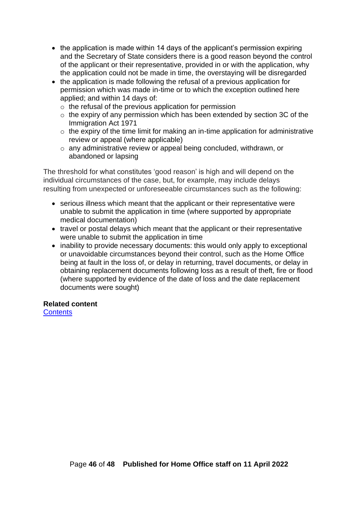- the application is made within 14 days of the applicant's permission expiring and the Secretary of State considers there is a good reason beyond the control of the applicant or their representative, provided in or with the application, why the application could not be made in time, the overstaying will be disregarded
- the application is made following the refusal of a previous application for permission which was made in-time or to which the exception outlined here applied; and within 14 days of:
	- o the refusal of the previous application for permission
	- o the expiry of any permission which has been extended by section 3C of the Immigration Act 1971
	- $\circ$  the expiry of the time limit for making an in-time application for administrative review or appeal (where applicable)
	- o any administrative review or appeal being concluded, withdrawn, or abandoned or lapsing

The threshold for what constitutes 'good reason' is high and will depend on the individual circumstances of the case, but, for example, may include delays resulting from unexpected or unforeseeable circumstances such as the following:

- serious illness which meant that the applicant or their representative were unable to submit the application in time (where supported by appropriate medical documentation)
- travel or postal delays which meant that the applicant or their representative were unable to submit the application in time
- inability to provide necessary documents: this would only apply to exceptional or unavoidable circumstances beyond their control, such as the Home Office being at fault in the loss of, or delay in returning, travel documents, or delay in obtaining replacement documents following loss as a result of theft, fire or flood (where supported by evidence of the date of loss and the date replacement documents were sought)

#### **Related content**

**[Contents](#page-1-0)**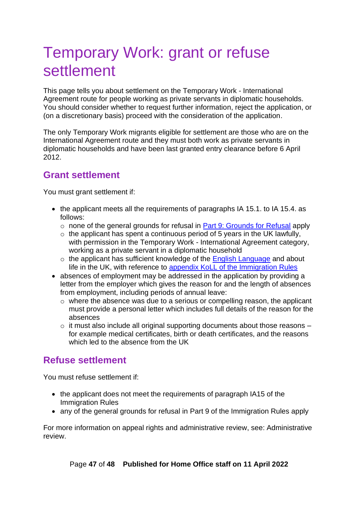# <span id="page-46-0"></span>Temporary Work: grant or refuse settlement

This page tells you about settlement on the Temporary Work - International Agreement route for people working as private servants in diplomatic households. You should consider whether to request further information, reject the application, or (on a discretionary basis) proceed with the consideration of the application.

The only Temporary Work migrants eligible for settlement are those who are on the International Agreement route and they must both work as private servants in diplomatic households and have been last granted entry clearance before 6 April 2012.

# <span id="page-46-1"></span>**Grant settlement**

You must grant settlement if:

- the applicant meets all the requirements of paragraphs IA 15.1, to IA 15.4, as follows:
	- $\circ$  none of the general grounds for refusal in [Part 9: Grounds for Refusal](https://www.gov.uk/guidance/immigration-rules/immigration-rules-part-9-grounds-for-refusal) apply
	- $\circ$  the applicant has spent a continuous period of 5 years in the UK lawfully. with permission in the Temporary Work - International Agreement category, working as a private servant in a diplomatic household
	- o the applicant has sufficient knowledge of the [English Language](https://www.gov.uk/guidance/immigration-rules/immigration-rules-appendix-english-language) and about life in the UK, with reference to [appendix KoLL of the Immigration Rules](https://www.gov.uk/guidance/immigration-rules/immigration-rules-appendix-koll)
- absences of employment may be addressed in the application by providing a letter from the employer which gives the reason for and the length of absences from employment, including periods of annual leave:
	- o where the absence was due to a serious or compelling reason, the applicant must provide a personal letter which includes full details of the reason for the absences
	- $\circ$  it must also include all original supporting documents about those reasons for example medical certificates, birth or death certificates, and the reasons which led to the absence from the UK

# <span id="page-46-2"></span>**Refuse settlement**

You must refuse settlement if:

- the applicant does not meet the requirements of paragraph IA15 of the Immigration Rules
- any of the general grounds for refusal in [Part 9 of the Immigration Rules](https://www.gov.uk/guidance/immigration-rules/immigration-rules-part-9-grounds-for-refusal) apply

For more information on appeal rights and administrative review, see: Administrative review.